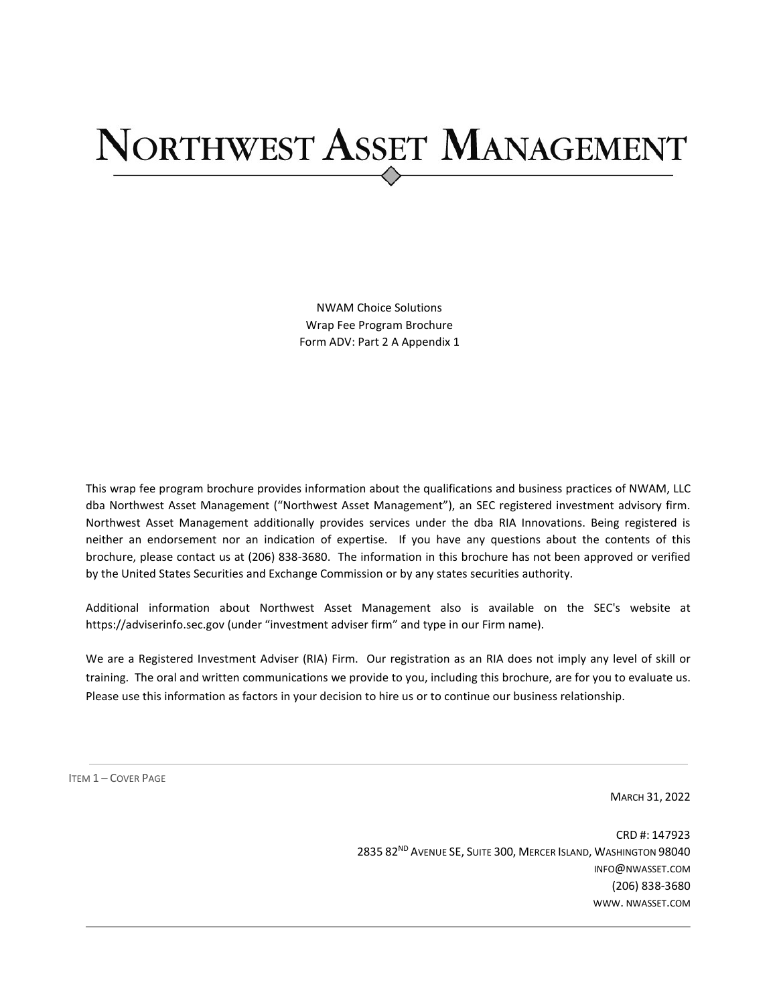# NORTHWEST ASSET MANAGEMENT

NWAM Choice Solutions Wrap Fee Program Brochure Form ADV: Part 2 A Appendix 1

This wrap fee program brochure provides information about the qualifications and business practices of NWAM, LLC dba Northwest Asset Management ("Northwest Asset Management"), an SEC registered investment advisory firm. Northwest Asset Management additionally provides services under the dba RIA Innovations. Being registered is neither an endorsement nor an indication of expertise. If you have any questions about the contents of this brochure, please contact us at (206) 838-3680. The information in this brochure has not been approved or verified by the United States Securities and Exchange Commission or by any states securities authority.

Additional information about Northwest Asset Management also is available on the SEC's website at https://adviserinfo.sec.gov (under "investment adviser firm" and type in our Firm name).

We are a Registered Investment Adviser (RIA) Firm. Our registration as an RIA does not imply any level of skill or training. The oral and written communications we provide to you, including this brochure, are for you to evaluate us. Please use this information as factors in your decision to hire us or to continue our business relationship.

<span id="page-0-0"></span>ITEM 1 – COVER PAGE

MARCH 31, 2022

CRD #: 147923 2835 82<sup>ND</sup> AVENUE SE, SUITE 300, MERCER ISLAND, WASHINGTON 98040 INFO@NWASSET.COM (206) 838-3680 WWW. NWASSET.COM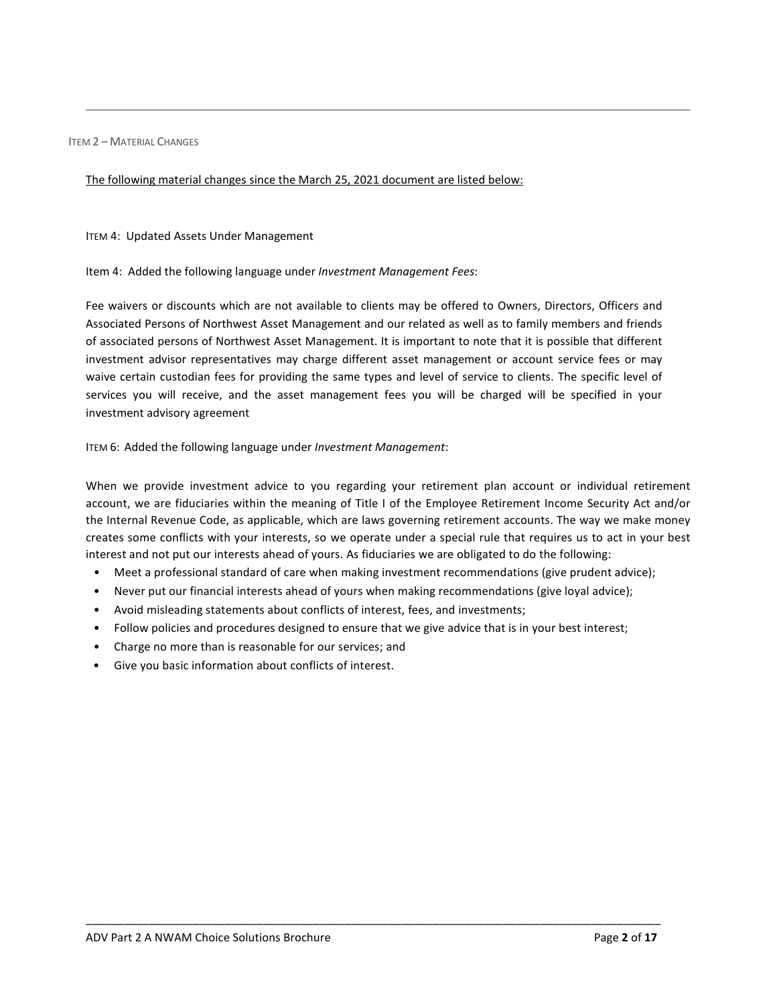<span id="page-1-0"></span>ITEM 2 – MATERIAL CHANGES

#### The following material changes since the March 25, 2021 document are listed below:

ITEM 4: Updated Assets Under Management

Item 4: Added the following language under *Investment Management Fees*:

Fee waivers or discounts which are not available to clients may be offered to Owners, Directors, Officers and Associated Persons of Northwest Asset Management and our related as well as to family members and friends of associated persons of Northwest Asset Management. It is important to note that it is possible that different investment advisor representatives may charge different asset management or account service fees or may waive certain custodian fees for providing the same types and level of service to clients. The specific level of services you will receive, and the asset management fees you will be charged will be specified in your investment advisory agreement

ITEM 6: Added the following language under *Investment Management*:

When we provide investment advice to you regarding your retirement plan account or individual retirement account, we are fiduciaries within the meaning of Title I of the Employee Retirement Income Security Act and/or the Internal Revenue Code, as applicable, which are laws governing retirement accounts. The way we make money creates some conflicts with your interests, so we operate under a special rule that requires us to act in your best interest and not put our interests ahead of yours. As fiduciaries we are obligated to do the following:

• Meet a professional standard of care when making investment recommendations (give prudent advice);

- Never put our financial interests ahead of yours when making recommendations (give loyal advice);
- Avoid misleading statements about conflicts of interest, fees, and investments;
- Follow policies and procedures designed to ensure that we give advice that is in your best interest;
- Charge no more than is reasonable for our services; and
- Give you basic information about conflicts of interest.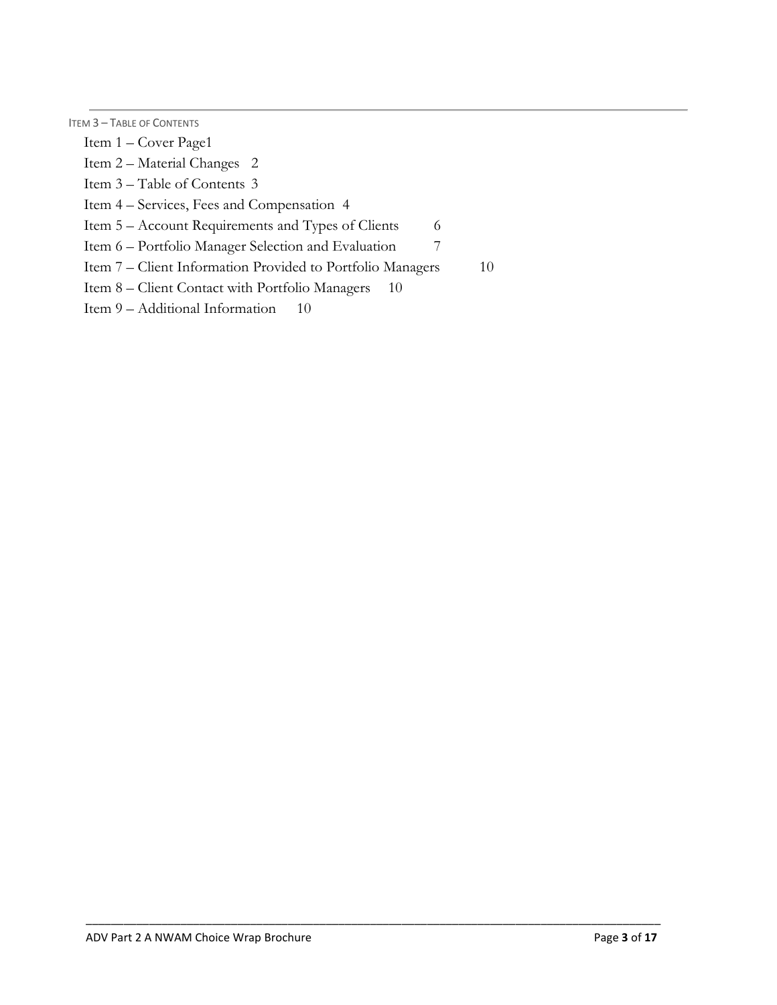<span id="page-2-0"></span>ITEM 3 – TABLE OF CONTENTS

[Item 1 – Cover Page1](#page-0-0)

[Item 2 – Material Changes 2](#page-1-0)

[Item 3 – Table of Contents 3](#page-2-0)

[Item 4 – Services, Fees and Compensation 4](#page-3-0)

[Item 5 – Account Requirements and Types of Clients 6](#page-5-0)

[Item 6 – Portfolio Manager Selection and Evaluation 7](#page-6-0)

[Item 7 – Client Information Provided to Portfolio Managers 10](#page-9-0)

[Item 8 – Client Contact with Portfolio Managers](#page-9-1) 10

[Item 9 – Additional Information](#page-9-2) 10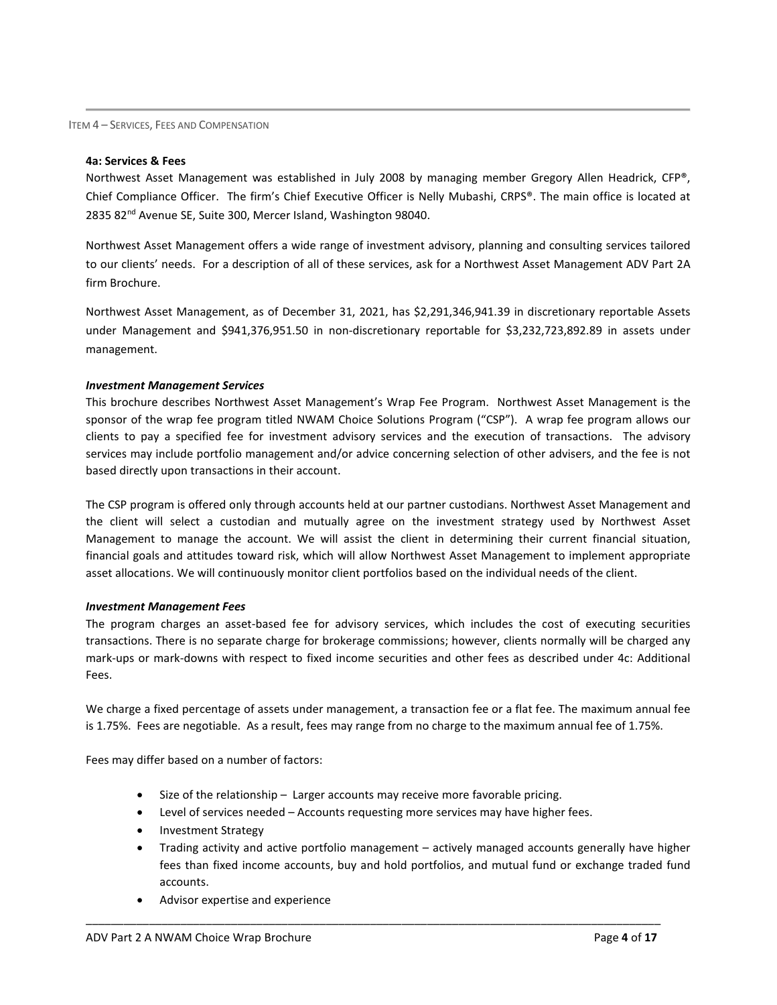<span id="page-3-0"></span>ITEM 4 – SERVICES, FEES AND COMPENSATION

#### **4a: Services & Fees**

Northwest Asset Management was established in July 2008 by managing member Gregory Allen Headrick, CFP®, Chief Compliance Officer. The firm's Chief Executive Officer is Nelly Mubashi, CRPS®. The main office is located at 2835 82<sup>nd</sup> Avenue SE, Suite 300, Mercer Island, Washington 98040.

Northwest Asset Management offers a wide range of investment advisory, planning and consulting services tailored to our clients' needs. For a description of all of these services, ask for a Northwest Asset Management ADV Part 2A firm Brochure.

Northwest Asset Management, as of December 31, 2021, has \$2,291,346,941.39 in discretionary reportable Assets under Management and \$941,376,951.50 in non-discretionary reportable for \$3,232,723,892.89 in assets under management.

#### *Investment Management Services*

This brochure describes Northwest Asset Management's Wrap Fee Program. Northwest Asset Management is the sponsor of the wrap fee program titled NWAM Choice Solutions Program ("CSP"). A wrap fee program allows our clients to pay a specified fee for investment advisory services and the execution of transactions. The advisory services may include portfolio management and/or advice concerning selection of other advisers, and the fee is not based directly upon transactions in their account.

The CSP program is offered only through accounts held at our partner custodians. Northwest Asset Management and the client will select a custodian and mutually agree on the investment strategy used by Northwest Asset Management to manage the account. We will assist the client in determining their current financial situation, financial goals and attitudes toward risk, which will allow Northwest Asset Management to implement appropriate asset allocations. We will continuously monitor client portfolios based on the individual needs of the client.

#### *Investment Management Fees*

The program charges an asset-based fee for advisory services, which includes the cost of executing securities transactions. There is no separate charge for brokerage commissions; however, clients normally will be charged any mark-ups or mark-downs with respect to fixed income securities and other fees as described under 4c: Additional Fees.

We charge a fixed percentage of assets under management, a transaction fee or a flat fee. The maximum annual fee is 1.75%. Fees are negotiable. As a result, fees may range from no charge to the maximum annual fee of 1.75%.

Fees may differ based on a number of factors:

- Size of the relationship Larger accounts may receive more favorable pricing.
- Level of services needed Accounts requesting more services may have higher fees.

- Investment Strategy
- Trading activity and active portfolio management actively managed accounts generally have higher fees than fixed income accounts, buy and hold portfolios, and mutual fund or exchange traded fund accounts.
- Advisor expertise and experience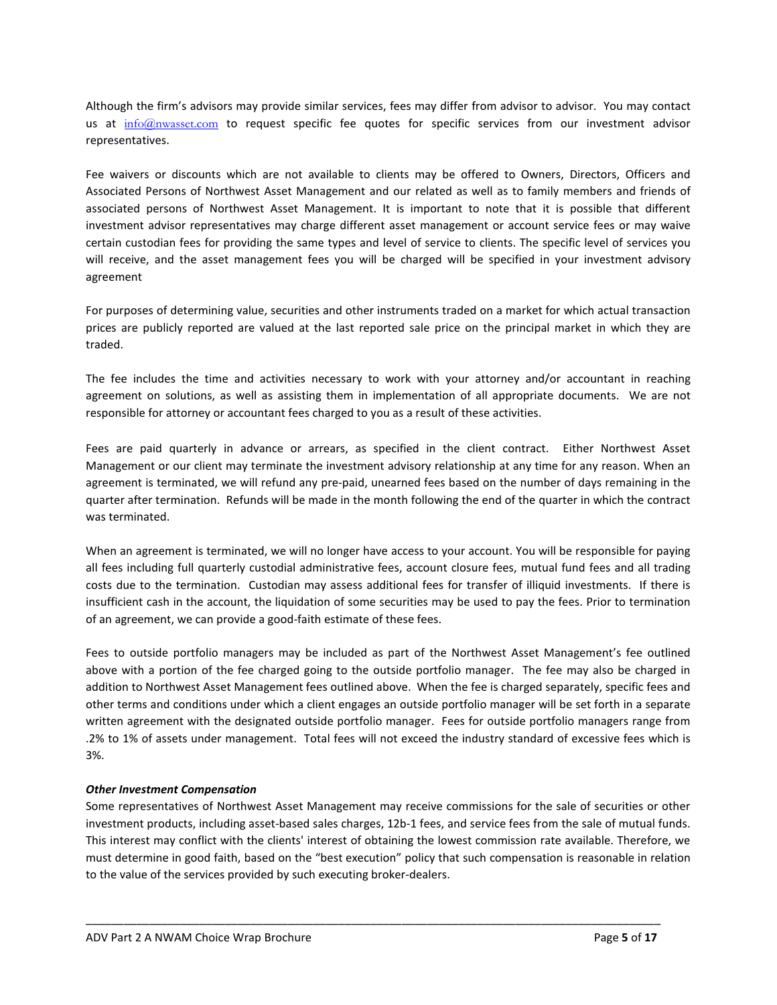Although the firm's advisors may provide similar services, fees may differ from advisor to advisor. You may contact us at  $\frac{info@nwasser.com}{info@nwasser.com}$  to request specific fee quotes for specific services from our investment advisor representatives.

Fee waivers or discounts which are not available to clients may be offered to Owners, Directors, Officers and Associated Persons of Northwest Asset Management and our related as well as to family members and friends of associated persons of Northwest Asset Management. It is important to note that it is possible that different investment advisor representatives may charge different asset management or account service fees or may waive certain custodian fees for providing the same types and level of service to clients. The specific level of services you will receive, and the asset management fees you will be charged will be specified in your investment advisory agreement

For purposes of determining value, securities and other instruments traded on a market for which actual transaction prices are publicly reported are valued at the last reported sale price on the principal market in which they are traded.

The fee includes the time and activities necessary to work with your attorney and/or accountant in reaching agreement on solutions, as well as assisting them in implementation of all appropriate documents. We are not responsible for attorney or accountant fees charged to you as a result of these activities.

Fees are paid quarterly in advance or arrears, as specified in the client contract. Either Northwest Asset Management or our client may terminate the investment advisory relationship at any time for any reason. When an agreement is terminated, we will refund any pre-paid, unearned fees based on the number of days remaining in the quarter after termination. Refunds will be made in the month following the end of the quarter in which the contract was terminated.

When an agreement is terminated, we will no longer have access to your account. You will be responsible for paying all fees including full quarterly custodial administrative fees, account closure fees, mutual fund fees and all trading costs due to the termination. Custodian may assess additional fees for transfer of illiquid investments. If there is insufficient cash in the account, the liquidation of some securities may be used to pay the fees. Prior to termination of an agreement, we can provide a good-faith estimate of these fees.

Fees to outside portfolio managers may be included as part of the Northwest Asset Management's fee outlined above with a portion of the fee charged going to the outside portfolio manager. The fee may also be charged in addition to Northwest Asset Management fees outlined above. When the fee is charged separately, specific fees and other terms and conditions under which a client engages an outside portfolio manager will be set forth in a separate written agreement with the designated outside portfolio manager. Fees for outside portfolio managers range from .2% to 1% of assets under management. Total fees will not exceed the industry standard of excessive fees which is 3%.

## *Other Investment Compensation*

Some representatives of Northwest Asset Management may receive commissions for the sale of securities or other investment products, including asset-based sales charges, 12b-1 fees, and service fees from the sale of mutual funds. This interest may conflict with the clients' interest of obtaining the lowest commission rate available. Therefore, we must determine in good faith, based on the "best execution" policy that such compensation is reasonable in relation to the value of the services provided by such executing broker-dealers.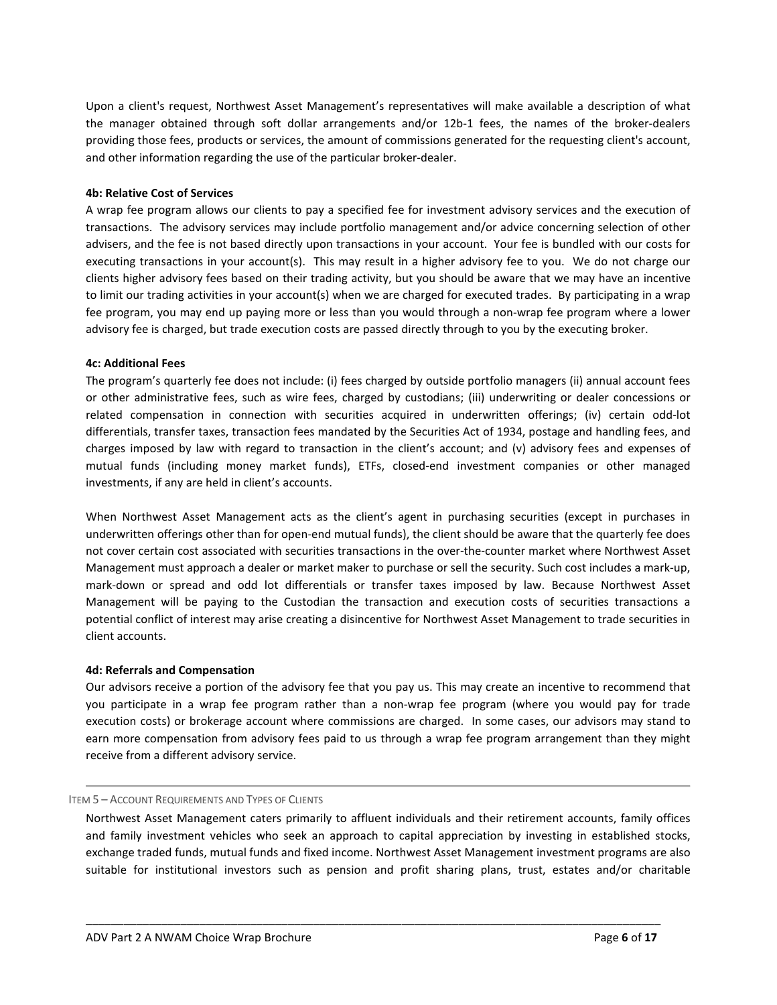Upon a client's request, Northwest Asset Management's representatives will make available a description of what the manager obtained through soft dollar arrangements and/or 12b-1 fees, the names of the broker-dealers providing those fees, products or services, the amount of commissions generated for the requesting client's account, and other information regarding the use of the particular broker-dealer.

#### **4b: Relative Cost of Services**

A wrap fee program allows our clients to pay a specified fee for investment advisory services and the execution of transactions. The advisory services may include portfolio management and/or advice concerning selection of other advisers, and the fee is not based directly upon transactions in your account. Your fee is bundled with our costs for executing transactions in your account(s). This may result in a higher advisory fee to you. We do not charge our clients higher advisory fees based on their trading activity, but you should be aware that we may have an incentive to limit our trading activities in your account(s) when we are charged for executed trades. By participating in a wrap fee program, you may end up paying more or less than you would through a non-wrap fee program where a lower advisory fee is charged, but trade execution costs are passed directly through to you by the executing broker.

#### **4c: Additional Fees**

The program's quarterly fee does not include: (i) fees charged by outside portfolio managers (ii) annual account fees or other administrative fees, such as wire fees, charged by custodians; (iii) underwriting or dealer concessions or related compensation in connection with securities acquired in underwritten offerings; (iv) certain odd-lot differentials, transfer taxes, transaction fees mandated by the Securities Act of 1934, postage and handling fees, and charges imposed by law with regard to transaction in the client's account; and (v) advisory fees and expenses of mutual funds (including money market funds), ETFs, closed-end investment companies or other managed investments, if any are held in client's accounts.

When Northwest Asset Management acts as the client's agent in purchasing securities (except in purchases in underwritten offerings other than for open-end mutual funds), the client should be aware that the quarterly fee does not cover certain cost associated with securities transactions in the over-the-counter market where Northwest Asset Management must approach a dealer or market maker to purchase or sell the security. Such cost includes a mark-up, mark-down or spread and odd lot differentials or transfer taxes imposed by law. Because Northwest Asset Management will be paying to the Custodian the transaction and execution costs of securities transactions a potential conflict of interest may arise creating a disincentive for Northwest Asset Management to trade securities in client accounts.

## **4d: Referrals and Compensation**

Our advisors receive a portion of the advisory fee that you pay us. This may create an incentive to recommend that you participate in a wrap fee program rather than a non-wrap fee program (where you would pay for trade execution costs) or brokerage account where commissions are charged. In some cases, our advisors may stand to earn more compensation from advisory fees paid to us through a wrap fee program arrangement than they might receive from a different advisory service.

## ITEM 5 – ACCOUNT REQUIREMENTS AND TYPES OF CLIENTS

<span id="page-5-0"></span>Northwest Asset Management caters primarily to affluent individuals and their retirement accounts, family offices and family investment vehicles who seek an approach to capital appreciation by investing in established stocks, exchange traded funds, mutual funds and fixed income. Northwest Asset Management investment programs are also suitable for institutional investors such as pension and profit sharing plans, trust, estates and/or charitable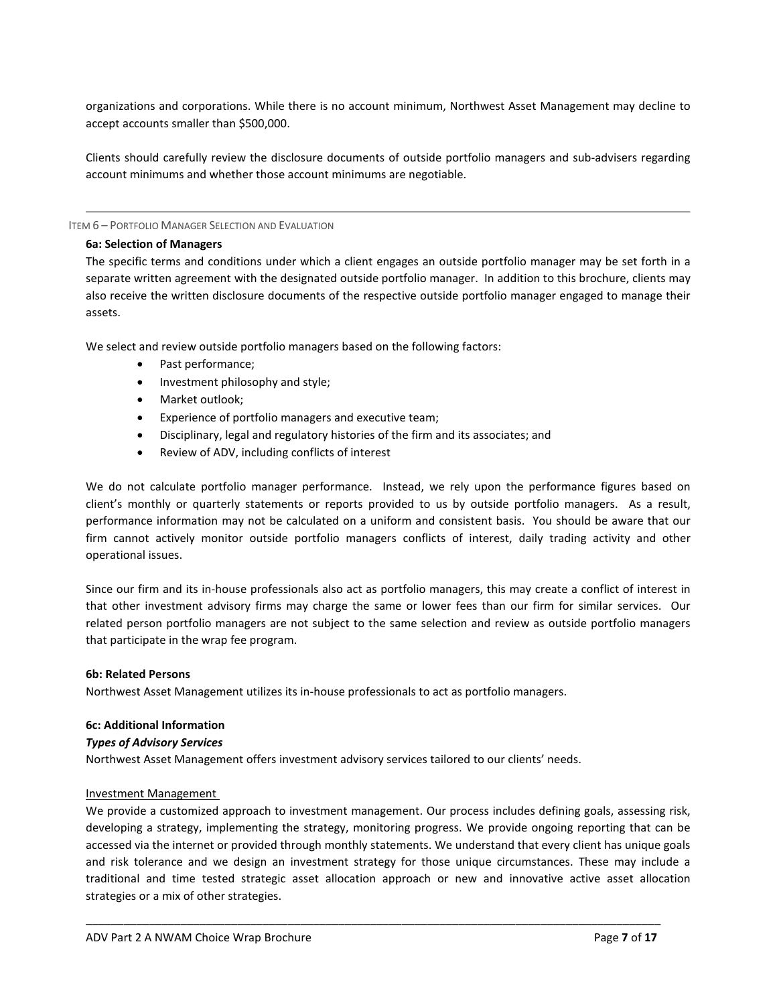organizations and corporations. While there is no account minimum, Northwest Asset Management may decline to accept accounts smaller than \$500,000.

Clients should carefully review the disclosure documents of outside portfolio managers and sub-advisers regarding account minimums and whether those account minimums are negotiable.

ITEM 6 – PORTFOLIO MANAGER SELECTION AND EVALUATION

#### **6a: Selection of Managers**

The specific terms and conditions under which a client engages an outside portfolio manager may be set forth in a separate written agreement with the designated outside portfolio manager. In addition to this brochure, clients may also receive the written disclosure documents of the respective outside portfolio manager engaged to manage their assets.

We select and review outside portfolio managers based on the following factors:

- <span id="page-6-0"></span>• Past performance;
- Investment philosophy and style;
- Market outlook;
- Experience of portfolio managers and executive team;
- Disciplinary, legal and regulatory histories of the firm and its associates; and
- Review of ADV, including conflicts of interest

We do not calculate portfolio manager performance. Instead, we rely upon the performance figures based on client's monthly or quarterly statements or reports provided to us by outside portfolio managers. As a result, performance information may not be calculated on a uniform and consistent basis. You should be aware that our firm cannot actively monitor outside portfolio managers conflicts of interest, daily trading activity and other operational issues.

Since our firm and its in-house professionals also act as portfolio managers, this may create a conflict of interest in that other investment advisory firms may charge the same or lower fees than our firm for similar services. Our related person portfolio managers are not subject to the same selection and review as outside portfolio managers that participate in the wrap fee program.

## **6b: Related Persons**

Northwest Asset Management utilizes its in-house professionals to act as portfolio managers.

## **6c: Additional Information**

## *Types of Advisory Services*

Northwest Asset Management offers investment advisory services tailored to our clients' needs.

## Investment Management

We provide a customized approach to investment management. Our process includes defining goals, assessing risk, developing a strategy, implementing the strategy, monitoring progress. We provide ongoing reporting that can be accessed via the internet or provided through monthly statements. We understand that every client has unique goals and risk tolerance and we design an investment strategy for those unique circumstances. These may include a traditional and time tested strategic asset allocation approach or new and innovative active asset allocation strategies or a mix of other strategies.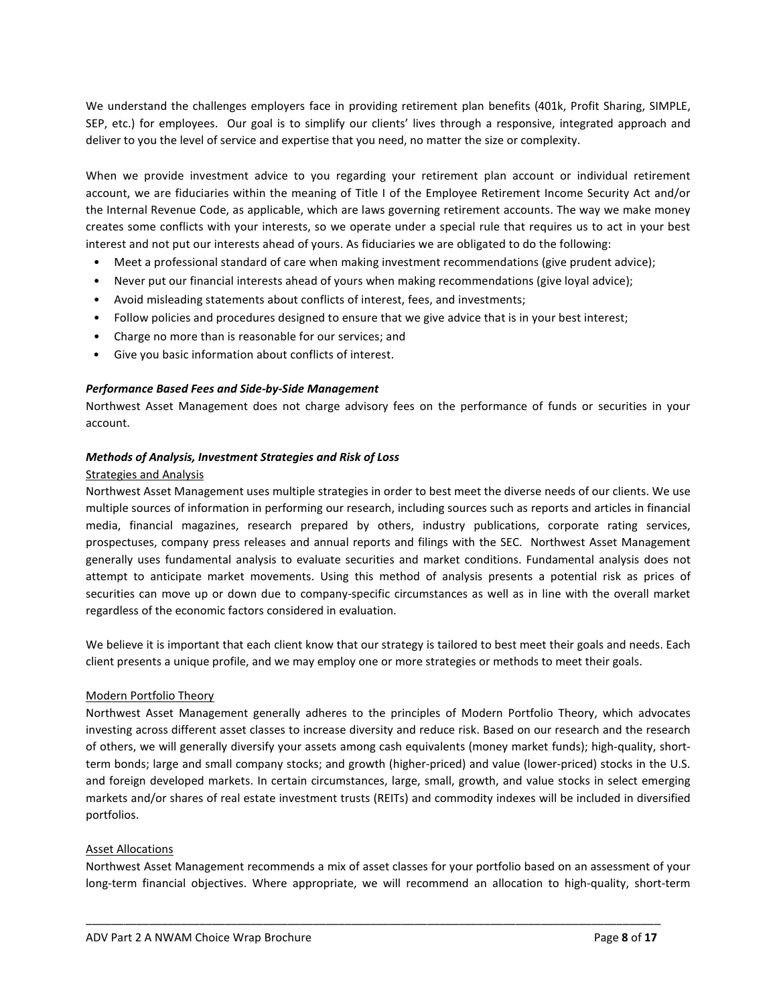We understand the challenges employers face in providing retirement plan benefits (401k, Profit Sharing, SIMPLE, SEP, etc.) for employees. Our goal is to simplify our clients' lives through a responsive, integrated approach and deliver to you the level of service and expertise that you need, no matter the size or complexity.

When we provide investment advice to you regarding your retirement plan account or individual retirement account, we are fiduciaries within the meaning of Title I of the Employee Retirement Income Security Act and/or the Internal Revenue Code, as applicable, which are laws governing retirement accounts. The way we make money creates some conflicts with your interests, so we operate under a special rule that requires us to act in your best interest and not put our interests ahead of yours. As fiduciaries we are obligated to do the following:

- Meet a professional standard of care when making investment recommendations (give prudent advice);
- Never put our financial interests ahead of yours when making recommendations (give loyal advice);
- Avoid misleading statements about conflicts of interest, fees, and investments;
- Follow policies and procedures designed to ensure that we give advice that is in your best interest;
- Charge no more than is reasonable for our services; and
- Give you basic information about conflicts of interest.

#### *Performance Based Fees and Side-by-Side Management*

Northwest Asset Management does not charge advisory fees on the performance of funds or securities in your account.

## *Methods of Analysis, Investment Strategies and Risk of Loss*

#### Strategies and Analysis

Northwest Asset Management uses multiple strategies in order to best meet the diverse needs of our clients. We use multiple sources of information in performing our research, including sources such as reports and articles in financial media, financial magazines, research prepared by others, industry publications, corporate rating services, prospectuses, company press releases and annual reports and filings with the SEC. Northwest Asset Management generally uses fundamental analysis to evaluate securities and market conditions. Fundamental analysis does not attempt to anticipate market movements. Using this method of analysis presents a potential risk as prices of securities can move up or down due to company-specific circumstances as well as in line with the overall market regardless of the economic factors considered in evaluation.

We believe it is important that each client know that our strategy is tailored to best meet their goals and needs. Each client presents a unique profile, and we may employ one or more strategies or methods to meet their goals.

## Modern Portfolio Theory

Northwest Asset Management generally adheres to the principles of Modern Portfolio Theory, which advocates investing across different asset classes to increase diversity and reduce risk. Based on our research and the research of others, we will generally diversify your assets among cash equivalents (money market funds); high-quality, shortterm bonds; large and small company stocks; and growth (higher-priced) and value (lower-priced) stocks in the U.S. and foreign developed markets. In certain circumstances, large, small, growth, and value stocks in select emerging markets and/or shares of real estate investment trusts (REITs) and commodity indexes will be included in diversified portfolios.

## Asset Allocations

Northwest Asset Management recommends a mix of asset classes for your portfolio based on an assessment of your long-term financial objectives. Where appropriate, we will recommend an allocation to high-quality, short-term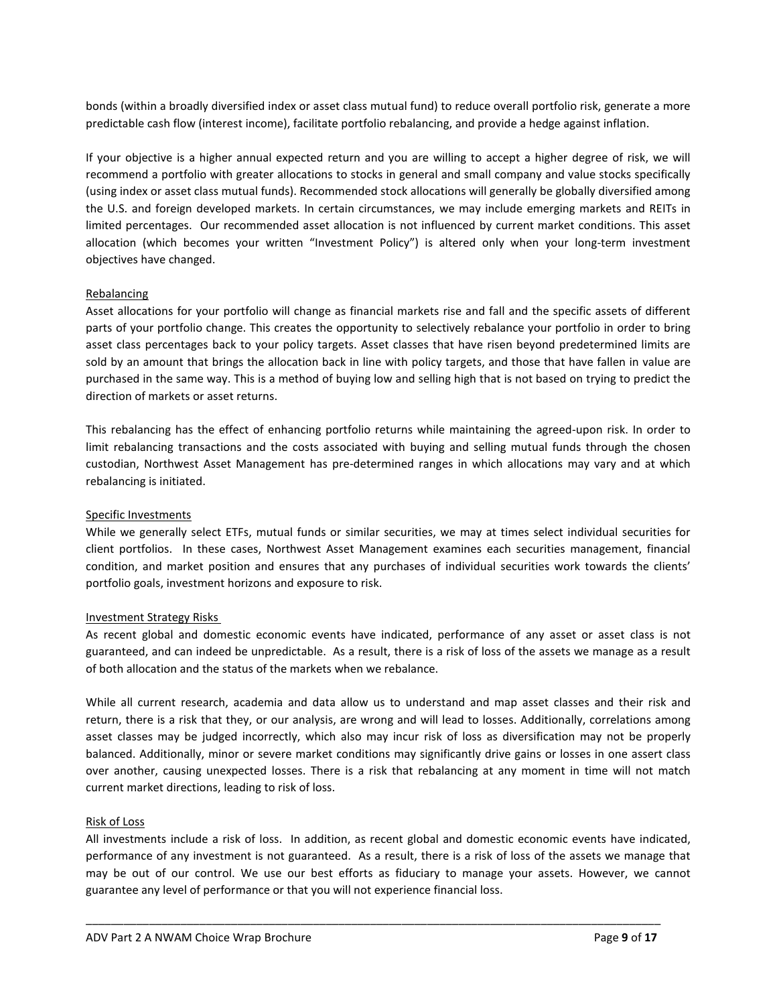bonds (within a broadly diversified index or asset class mutual fund) to reduce overall portfolio risk, generate a more predictable cash flow (interest income), facilitate portfolio rebalancing, and provide a hedge against inflation.

If your objective is a higher annual expected return and you are willing to accept a higher degree of risk, we will recommend a portfolio with greater allocations to stocks in general and small company and value stocks specifically (using index or asset class mutual funds). Recommended stock allocations will generally be globally diversified among the U.S. and foreign developed markets. In certain circumstances, we may include emerging markets and REITs in limited percentages. Our recommended asset allocation is not influenced by current market conditions. This asset allocation (which becomes your written "Investment Policy") is altered only when your long-term investment objectives have changed.

## **Rebalancing**

Asset allocations for your portfolio will change as financial markets rise and fall and the specific assets of different parts of your portfolio change. This creates the opportunity to selectively rebalance your portfolio in order to bring asset class percentages back to your policy targets. Asset classes that have risen beyond predetermined limits are sold by an amount that brings the allocation back in line with policy targets, and those that have fallen in value are purchased in the same way. This is a method of buying low and selling high that is not based on trying to predict the direction of markets or asset returns.

This rebalancing has the effect of enhancing portfolio returns while maintaining the agreed-upon risk. In order to limit rebalancing transactions and the costs associated with buying and selling mutual funds through the chosen custodian, Northwest Asset Management has pre-determined ranges in which allocations may vary and at which rebalancing is initiated.

## Specific Investments

While we generally select ETFs, mutual funds or similar securities, we may at times select individual securities for client portfolios. In these cases, Northwest Asset Management examines each securities management, financial condition, and market position and ensures that any purchases of individual securities work towards the clients' portfolio goals, investment horizons and exposure to risk.

## Investment Strategy Risks

As recent global and domestic economic events have indicated, performance of any asset or asset class is not guaranteed, and can indeed be unpredictable. As a result, there is a risk of loss of the assets we manage as a result of both allocation and the status of the markets when we rebalance.

While all current research, academia and data allow us to understand and map asset classes and their risk and return, there is a risk that they, or our analysis, are wrong and will lead to losses. Additionally, correlations among asset classes may be judged incorrectly, which also may incur risk of loss as diversification may not be properly balanced. Additionally, minor or severe market conditions may significantly drive gains or losses in one assert class over another, causing unexpected losses. There is a risk that rebalancing at any moment in time will not match current market directions, leading to risk of loss.

# Risk of Loss

All investments include a risk of loss. In addition, as recent global and domestic economic events have indicated, performance of any investment is not guaranteed. As a result, there is a risk of loss of the assets we manage that may be out of our control. We use our best efforts as fiduciary to manage your assets. However, we cannot guarantee any level of performance or that you will not experience financial loss.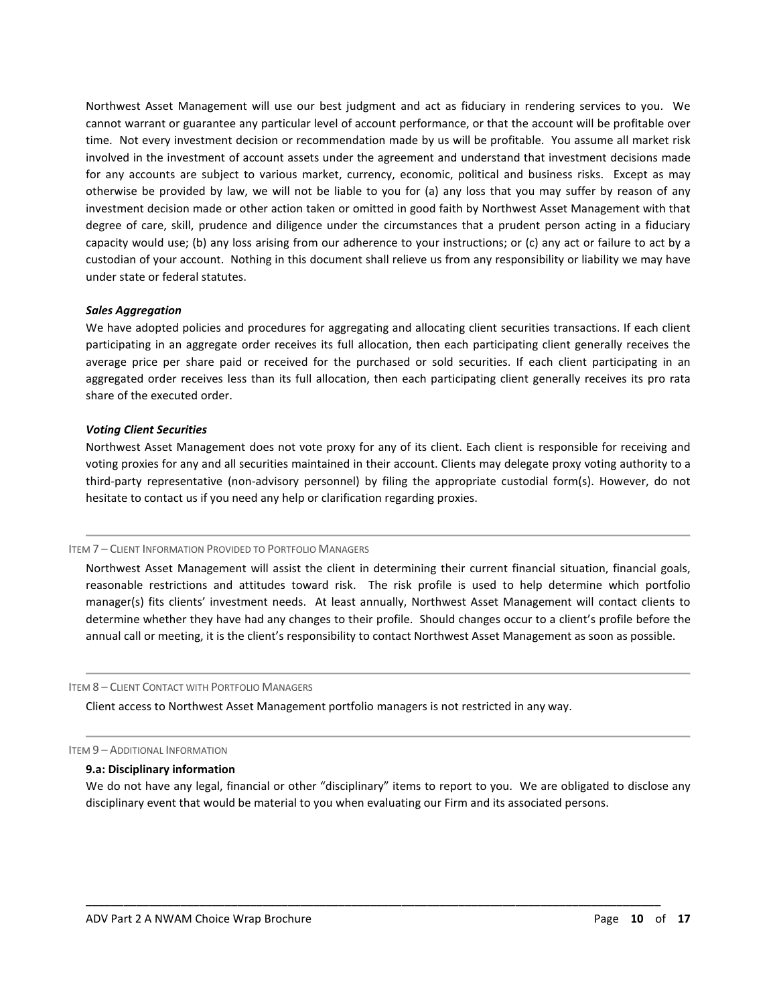Northwest Asset Management will use our best judgment and act as fiduciary in rendering services to you. We cannot warrant or guarantee any particular level of account performance, or that the account will be profitable over time. Not every investment decision or recommendation made by us will be profitable. You assume all market risk involved in the investment of account assets under the agreement and understand that investment decisions made for any accounts are subject to various market, currency, economic, political and business risks. Except as may otherwise be provided by law, we will not be liable to you for (a) any loss that you may suffer by reason of any investment decision made or other action taken or omitted in good faith by Northwest Asset Management with that degree of care, skill, prudence and diligence under the circumstances that a prudent person acting in a fiduciary capacity would use; (b) any loss arising from our adherence to your instructions; or (c) any act or failure to act by a custodian of your account. Nothing in this document shall relieve us from any responsibility or liability we may have under state or federal statutes.

#### *Sales Aggregation*

We have adopted policies and procedures for aggregating and allocating client securities transactions. If each client participating in an aggregate order receives its full allocation, then each participating client generally receives the average price per share paid or received for the purchased or sold securities. If each client participating in an aggregated order receives less than its full allocation, then each participating client generally receives its pro rata share of the executed order.

#### *Voting Client Securities*

Northwest Asset Management does not vote proxy for any of its client. Each client is responsible for receiving and voting proxies for any and all securities maintained in their account. Clients may delegate proxy voting authority to a third-party representative (non-advisory personnel) by filing the appropriate custodial form(s). However, do not hesitate to contact us if you need any help or clarification regarding proxies.

#### ITEM 7 – CLIENT INFORMATION PROVIDED TO PORTFOLIO MANAGERS

<span id="page-9-0"></span>Northwest Asset Management will assist the client in determining their current financial situation, financial goals, reasonable restrictions and attitudes toward risk. The risk profile is used to help determine which portfolio manager(s) fits clients' investment needs. At least annually, Northwest Asset Management will contact clients to determine whether they have had any changes to their profile. Should changes occur to a client's profile before the annual call or meeting, it is the client's responsibility to contact Northwest Asset Management as soon as possible.

#### ITEM 8 – CLIENT CONTACT WITH PORTFOLIO MANAGERS

<span id="page-9-1"></span>Client access to Northwest Asset Management portfolio managers is not restricted in any way.

ITEM 9 – ADDITIONAL INFORMATION

#### <span id="page-9-2"></span>**9.a: Disciplinary information**

We do not have any legal, financial or other "disciplinary" items to report to you. We are obligated to disclose any disciplinary event that would be material to you when evaluating our Firm and its associated persons.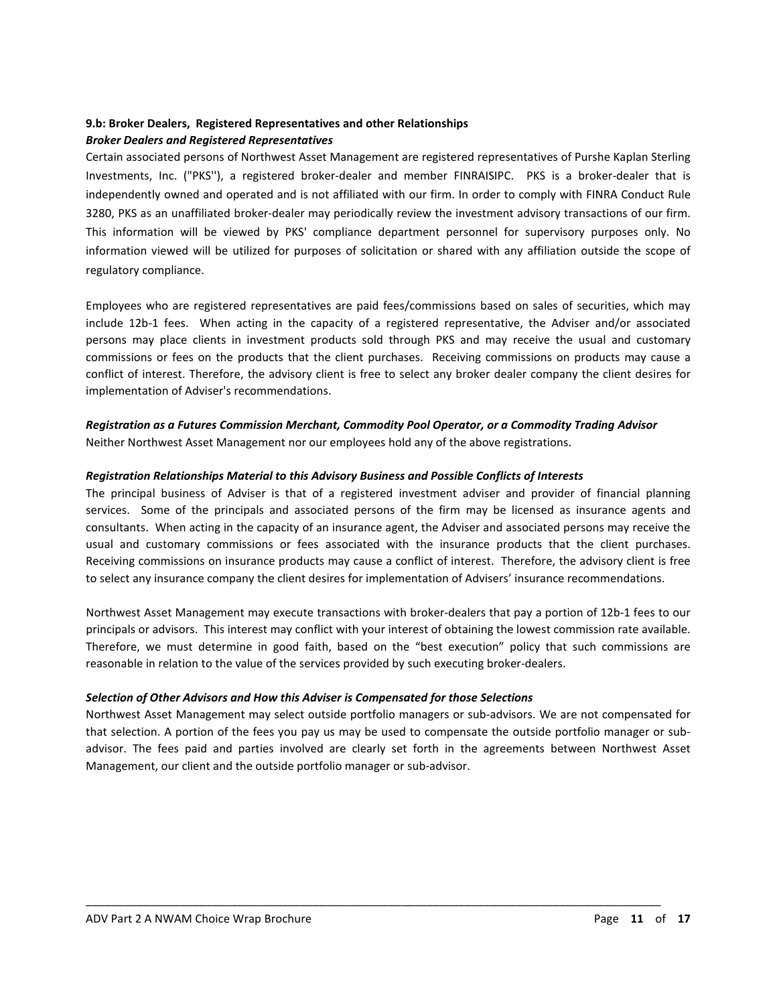## **9.b: Broker Dealers, Registered Representatives and other Relationships** *Broker Dealers and Registered Representatives*

Certain associated persons of Northwest Asset Management are registered representatives of Purshe Kaplan Sterling Investments, Inc. ("PKS''), a registered broker-dealer and member FINRAISIPC. PKS is a broker-dealer that is independently owned and operated and is not affiliated with our firm. In order to comply with FINRA Conduct Rule 3280, PKS as an unaffiliated broker-dealer may periodically review the investment advisory transactions of our firm. This information will be viewed by PKS' compliance department personnel for supervisory purposes only. No information viewed will be utilized for purposes of solicitation or shared with any affiliation outside the scope of regulatory compliance.

Employees who are registered representatives are paid fees/commissions based on sales of securities, which may include 12b-1 fees. When acting in the capacity of a registered representative, the Adviser and/or associated persons may place clients in investment products sold through PKS and may receive the usual and customary commissions or fees on the products that the client purchases. Receiving commissions on products may cause a conflict of interest. Therefore, the advisory client is free to select any broker dealer company the client desires for implementation of Adviser's recommendations.

# *Registration as a Futures Commission Merchant, Commodity Pool Operator, or a Commodity Trading Advisor* Neither Northwest Asset Management nor our employees hold any of the above registrations.

# *Registration Relationships Material to this Advisory Business and Possible Conflicts of Interests*

The principal business of Adviser is that of a registered investment adviser and provider of financial planning services. Some of the principals and associated persons of the firm may be licensed as insurance agents and consultants. When acting in the capacity of an insurance agent, the Adviser and associated persons may receive the usual and customary commissions or fees associated with the insurance products that the client purchases. Receiving commissions on insurance products may cause a conflict of interest. Therefore, the advisory client is free to select any insurance company the client desires for implementation of Advisers' insurance recommendations.

Northwest Asset Management may execute transactions with broker-dealers that pay a portion of 12b-1 fees to our principals or advisors. This interest may conflict with your interest of obtaining the lowest commission rate available. Therefore, we must determine in good faith, based on the "best execution" policy that such commissions are reasonable in relation to the value of the services provided by such executing broker-dealers.

## *Selection of Other Advisors and How this Adviser is Compensated for those Selections*

Northwest Asset Management may select outside portfolio managers or sub-advisors. We are not compensated for that selection. A portion of the fees you pay us may be used to compensate the outside portfolio manager or subadvisor. The fees paid and parties involved are clearly set forth in the agreements between Northwest Asset Management, our client and the outside portfolio manager or sub-advisor.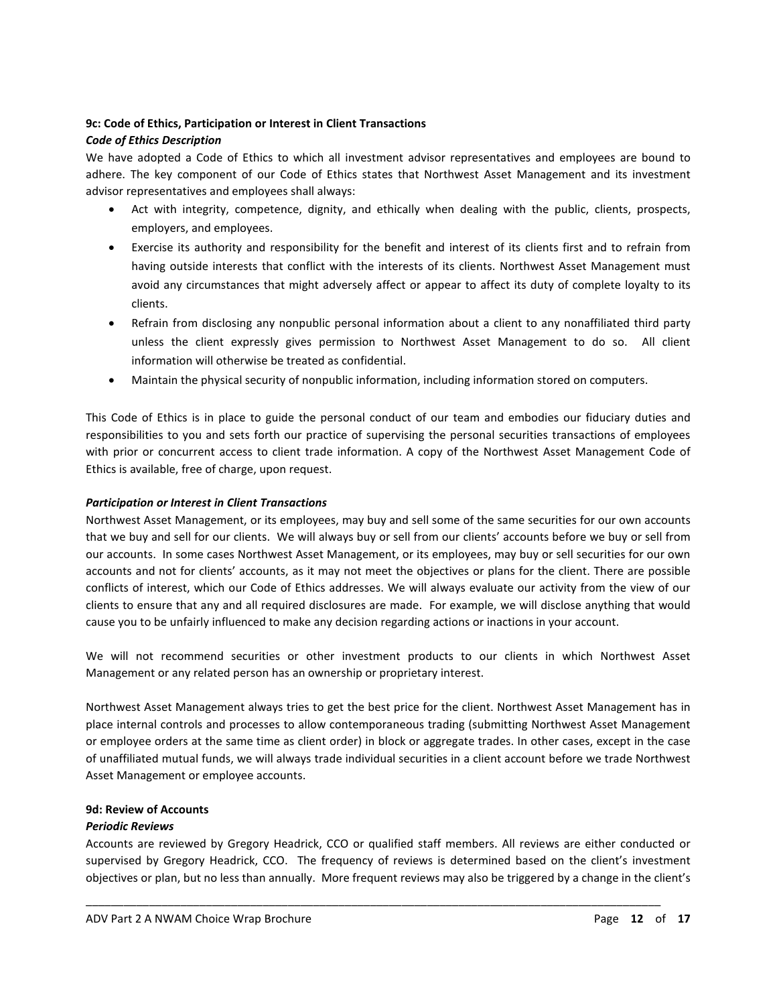# **9c: Code of Ethics, Participation or Interest in Client Transactions**

# *Code of Ethics Description*

We have adopted a Code of Ethics to which all investment advisor representatives and employees are bound to adhere. The key component of our Code of Ethics states that Northwest Asset Management and its investment advisor representatives and employees shall always:

- Act with integrity, competence, dignity, and ethically when dealing with the public, clients, prospects, employers, and employees.
- Exercise its authority and responsibility for the benefit and interest of its clients first and to refrain from having outside interests that conflict with the interests of its clients. Northwest Asset Management must avoid any circumstances that might adversely affect or appear to affect its duty of complete loyalty to its clients.
- Refrain from disclosing any nonpublic personal information about a client to any nonaffiliated third party unless the client expressly gives permission to Northwest Asset Management to do so. All client information will otherwise be treated as confidential.
- Maintain the physical security of nonpublic information, including information stored on computers.

This Code of Ethics is in place to guide the personal conduct of our team and embodies our fiduciary duties and responsibilities to you and sets forth our practice of supervising the personal securities transactions of employees with prior or concurrent access to client trade information. A copy of the Northwest Asset Management Code of Ethics is available, free of charge, upon request.

# *Participation or Interest in Client Transactions*

Northwest Asset Management, or its employees, may buy and sell some of the same securities for our own accounts that we buy and sell for our clients. We will always buy or sell from our clients' accounts before we buy or sell from our accounts. In some cases Northwest Asset Management, or its employees, may buy or sell securities for our own accounts and not for clients' accounts, as it may not meet the objectives or plans for the client. There are possible conflicts of interest, which our Code of Ethics addresses. We will always evaluate our activity from the view of our clients to ensure that any and all required disclosures are made. For example, we will disclose anything that would cause you to be unfairly influenced to make any decision regarding actions or inactions in your account.

We will not recommend securities or other investment products to our clients in which Northwest Asset Management or any related person has an ownership or proprietary interest.

Northwest Asset Management always tries to get the best price for the client. Northwest Asset Management has in place internal controls and processes to allow contemporaneous trading (submitting Northwest Asset Management or employee orders at the same time as client order) in block or aggregate trades. In other cases, except in the case of unaffiliated mutual funds, we will always trade individual securities in a client account before we trade Northwest Asset Management or employee accounts.

# **9d: Review of Accounts**

# *Periodic Reviews*

Accounts are reviewed by Gregory Headrick, CCO or qualified staff members. All reviews are either conducted or supervised by Gregory Headrick, CCO. The frequency of reviews is determined based on the client's investment objectives or plan, but no less than annually. More frequent reviews may also be triggered by a change in the client's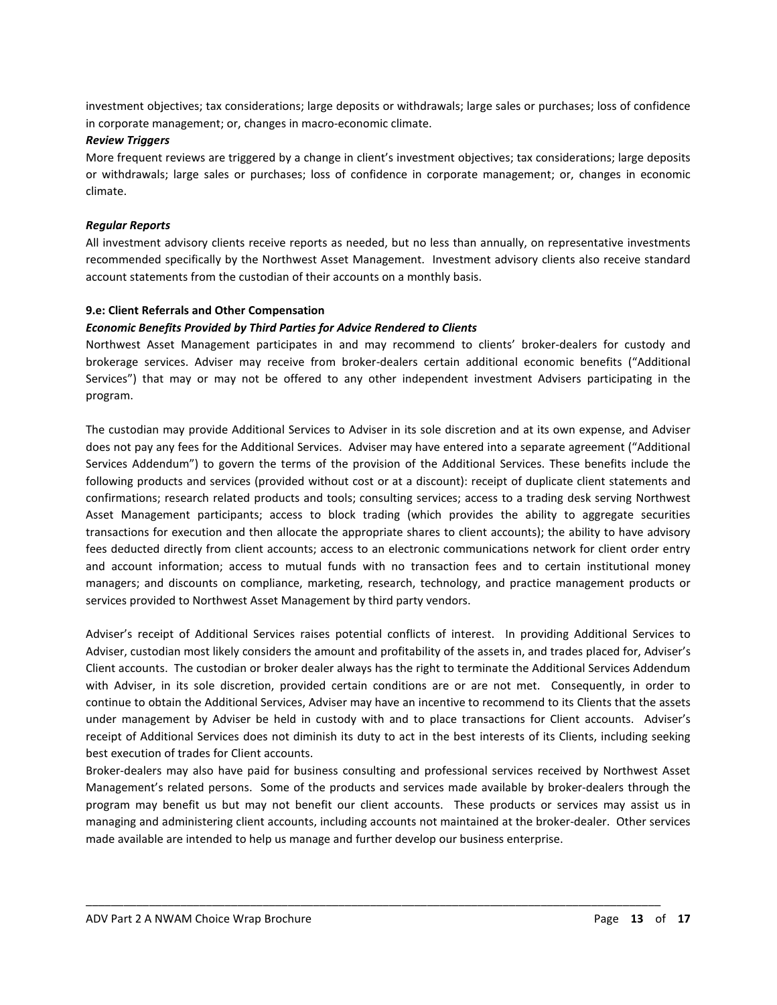investment objectives; tax considerations; large deposits or withdrawals; large sales or purchases; loss of confidence in corporate management; or, changes in macro-economic climate.

#### *Review Triggers*

More frequent reviews are triggered by a change in client's investment objectives; tax considerations; large deposits or withdrawals; large sales or purchases; loss of confidence in corporate management; or, changes in economic climate.

## *Regular Reports*

All investment advisory clients receive reports as needed, but no less than annually, on representative investments recommended specifically by the Northwest Asset Management. Investment advisory clients also receive standard account statements from the custodian of their accounts on a monthly basis.

## **9.e: Client Referrals and Other Compensation**

#### *Economic Benefits Provided by Third Parties for Advice Rendered to Clients*

Northwest Asset Management participates in and may recommend to clients' broker-dealers for custody and brokerage services. Adviser may receive from broker-dealers certain additional economic benefits ("Additional Services") that may or may not be offered to any other independent investment Advisers participating in the program.

The custodian may provide Additional Services to Adviser in its sole discretion and at its own expense, and Adviser does not pay any fees for the Additional Services. Adviser may have entered into a separate agreement ("Additional Services Addendum") to govern the terms of the provision of the Additional Services. These benefits include the following products and services (provided without cost or at a discount): receipt of duplicate client statements and confirmations; research related products and tools; consulting services; access to a trading desk serving Northwest Asset Management participants; access to block trading (which provides the ability to aggregate securities transactions for execution and then allocate the appropriate shares to client accounts); the ability to have advisory fees deducted directly from client accounts; access to an electronic communications network for client order entry and account information; access to mutual funds with no transaction fees and to certain institutional money managers; and discounts on compliance, marketing, research, technology, and practice management products or services provided to Northwest Asset Management by third party vendors.

Adviser's receipt of Additional Services raises potential conflicts of interest. In providing Additional Services to Adviser, custodian most likely considers the amount and profitability of the assets in, and trades placed for, Adviser's Client accounts. The custodian or broker dealer always has the right to terminate the Additional Services Addendum with Adviser, in its sole discretion, provided certain conditions are or are not met. Consequently, in order to continue to obtain the Additional Services, Adviser may have an incentive to recommend to its Clients that the assets under management by Adviser be held in custody with and to place transactions for Client accounts. Adviser's receipt of Additional Services does not diminish its duty to act in the best interests of its Clients, including seeking best execution of trades for Client accounts.

Broker-dealers may also have paid for business consulting and professional services received by Northwest Asset Management's related persons. Some of the products and services made available by broker-dealers through the program may benefit us but may not benefit our client accounts. These products or services may assist us in managing and administering client accounts, including accounts not maintained at the broker-dealer. Other services made available are intended to help us manage and further develop our business enterprise.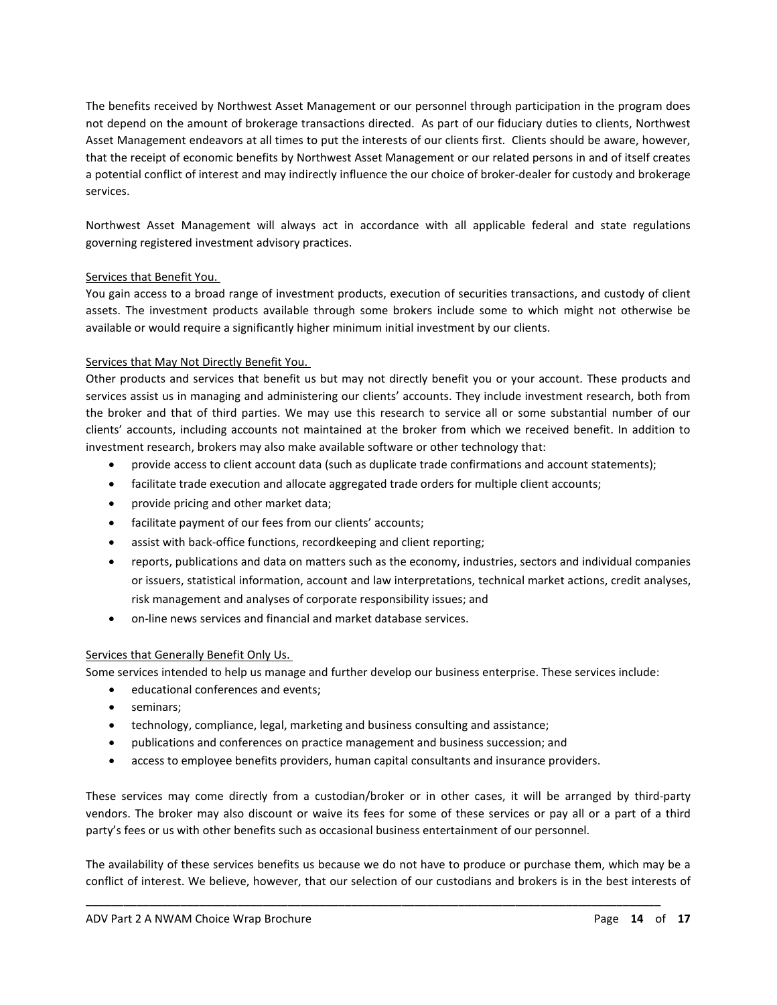The benefits received by Northwest Asset Management or our personnel through participation in the program does not depend on the amount of brokerage transactions directed. As part of our fiduciary duties to clients, Northwest Asset Management endeavors at all times to put the interests of our clients first. Clients should be aware, however, that the receipt of economic benefits by Northwest Asset Management or our related persons in and of itself creates a potential conflict of interest and may indirectly influence the our choice of broker-dealer for custody and brokerage services.

Northwest Asset Management will always act in accordance with all applicable federal and state regulations governing registered investment advisory practices.

## Services that Benefit You.

You gain access to a broad range of investment products, execution of securities transactions, and custody of client assets. The investment products available through some brokers include some to which might not otherwise be available or would require a significantly higher minimum initial investment by our clients.

# Services that May Not Directly Benefit You.

Other products and services that benefit us but may not directly benefit you or your account. These products and services assist us in managing and administering our clients' accounts. They include investment research, both from the broker and that of third parties. We may use this research to service all or some substantial number of our clients' accounts, including accounts not maintained at the broker from which we received benefit. In addition to investment research, brokers may also make available software or other technology that:

- provide access to client account data (such as duplicate trade confirmations and account statements);
- facilitate trade execution and allocate aggregated trade orders for multiple client accounts;
- provide pricing and other market data;
- facilitate payment of our fees from our clients' accounts;
- assist with back-office functions, recordkeeping and client reporting;
- reports, publications and data on matters such as the economy, industries, sectors and individual companies or issuers, statistical information, account and law interpretations, technical market actions, credit analyses, risk management and analyses of corporate responsibility issues; and
- on-line news services and financial and market database services.

## Services that Generally Benefit Only Us.

Some services intended to help us manage and further develop our business enterprise. These services include:

- educational conferences and events;
- seminars;
- technology, compliance, legal, marketing and business consulting and assistance;
- publications and conferences on practice management and business succession; and
- access to employee benefits providers, human capital consultants and insurance providers.

These services may come directly from a custodian/broker or in other cases, it will be arranged by third-party vendors. The broker may also discount or waive its fees for some of these services or pay all or a part of a third party's fees or us with other benefits such as occasional business entertainment of our personnel.

The availability of these services benefits us because we do not have to produce or purchase them, which may be a conflict of interest. We believe, however, that our selection of our custodians and brokers is in the best interests of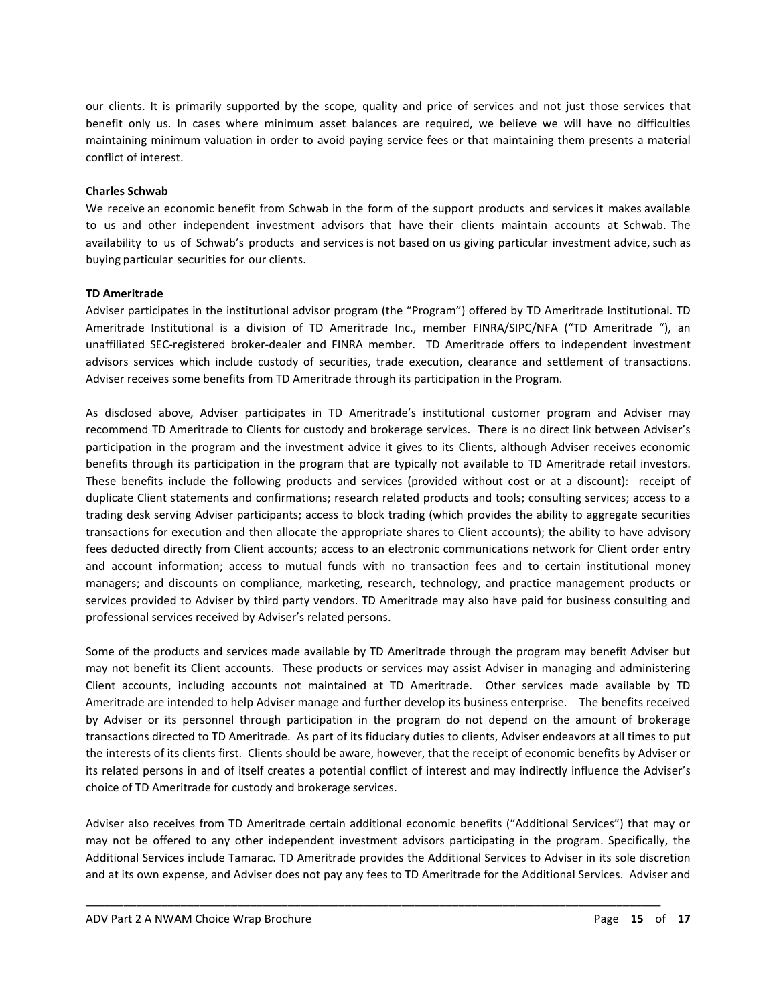our clients. It is primarily supported by the scope, quality and price of services and not just those services that benefit only us. In cases where minimum asset balances are required, we believe we will have no difficulties maintaining minimum valuation in order to avoid paying service fees or that maintaining them presents a material conflict of interest.

#### **Charles Schwab**

We receive an economic benefit from Schwab in the form of the support products and services it makes available to us and other independent investment advisors that have their clients maintain accounts at Schwab. The availability to us of Schwab's products and services is not based on us giving particular investment advice, such as buying particular securities for our clients.

## **TD Ameritrade**

Adviser participates in the institutional advisor program (the "Program") offered by TD Ameritrade Institutional. TD Ameritrade Institutional is a division of TD Ameritrade Inc., member FINRA/SIPC/NFA ("TD Ameritrade "), an unaffiliated SEC-registered broker-dealer and FINRA member. TD Ameritrade offers to independent investment advisors services which include custody of securities, trade execution, clearance and settlement of transactions. Adviser receives some benefits from TD Ameritrade through its participation in the Program.

As disclosed above, Adviser participates in TD Ameritrade's institutional customer program and Adviser may recommend TD Ameritrade to Clients for custody and brokerage services. There is no direct link between Adviser's participation in the program and the investment advice it gives to its Clients, although Adviser receives economic benefits through its participation in the program that are typically not available to TD Ameritrade retail investors. These benefits include the following products and services (provided without cost or at a discount): receipt of duplicate Client statements and confirmations; research related products and tools; consulting services; access to a trading desk serving Adviser participants; access to block trading (which provides the ability to aggregate securities transactions for execution and then allocate the appropriate shares to Client accounts); the ability to have advisory fees deducted directly from Client accounts; access to an electronic communications network for Client order entry and account information; access to mutual funds with no transaction fees and to certain institutional money managers; and discounts on compliance, marketing, research, technology, and practice management products or services provided to Adviser by third party vendors. TD Ameritrade may also have paid for business consulting and professional services received by Adviser's related persons.

Some of the products and services made available by TD Ameritrade through the program may benefit Adviser but may not benefit its Client accounts. These products or services may assist Adviser in managing and administering Client accounts, including accounts not maintained at TD Ameritrade. Other services made available by TD Ameritrade are intended to help Adviser manage and further develop its business enterprise. The benefits received by Adviser or its personnel through participation in the program do not depend on the amount of brokerage transactions directed to TD Ameritrade. As part of its fiduciary duties to clients, Adviser endeavors at all times to put the interests of its clients first. Clients should be aware, however, that the receipt of economic benefits by Adviser or its related persons in and of itself creates a potential conflict of interest and may indirectly influence the Adviser's choice of TD Ameritrade for custody and brokerage services.

Adviser also receives from TD Ameritrade certain additional economic benefits ("Additional Services") that may or may not be offered to any other independent investment advisors participating in the program. Specifically, the Additional Services include Tamarac. TD Ameritrade provides the Additional Services to Adviser in its sole discretion and at its own expense, and Adviser does not pay any fees to TD Ameritrade for the Additional Services. Adviser and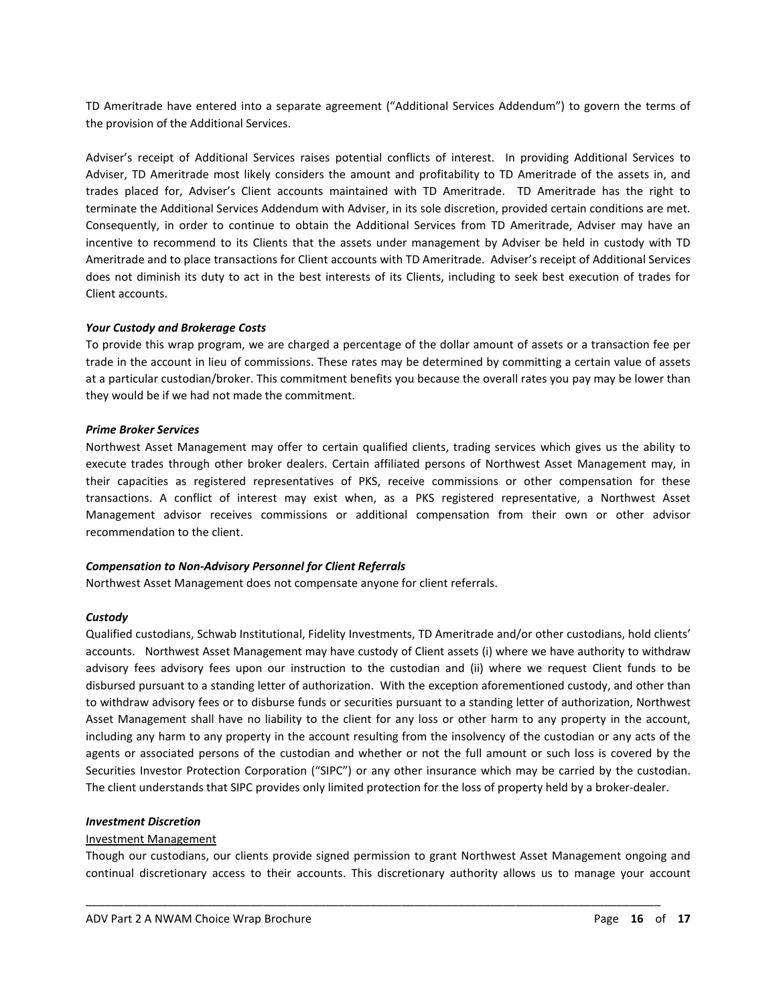TD Ameritrade have entered into a separate agreement ("Additional Services Addendum") to govern the terms of the provision of the Additional Services.

Adviser's receipt of Additional Services raises potential conflicts of interest. In providing Additional Services to Adviser, TD Ameritrade most likely considers the amount and profitability to TD Ameritrade of the assets in, and trades placed for, Adviser's Client accounts maintained with TD Ameritrade. TD Ameritrade has the right to terminate the Additional Services Addendum with Adviser, in its sole discretion, provided certain conditions are met. Consequently, in order to continue to obtain the Additional Services from TD Ameritrade, Adviser may have an incentive to recommend to its Clients that the assets under management by Adviser be held in custody with TD Ameritrade and to place transactions for Client accounts with TD Ameritrade. Adviser's receipt of Additional Services does not diminish its duty to act in the best interests of its Clients, including to seek best execution of trades for Client accounts.

#### *Your Custody and Brokerage Costs*

To provide this wrap program, we are charged a percentage of the dollar amount of assets or a transaction fee per trade in the account in lieu of commissions. These rates may be determined by committing a certain value of assets at a particular custodian/broker. This commitment benefits you because the overall rates you pay may be lower than they would be if we had not made the commitment.

#### *Prime Broker Services*

Northwest Asset Management may offer to certain qualified clients, trading services which gives us the ability to execute trades through other broker dealers. Certain affiliated persons of Northwest Asset Management may, in their capacities as registered representatives of PKS, receive commissions or other compensation for these transactions. A conflict of interest may exist when, as a PKS registered representative, a Northwest Asset Management advisor receives commissions or additional compensation from their own or other advisor recommendation to the client.

## *Compensation to Non-Advisory Personnel for Client Referrals*

Northwest Asset Management does not compensate anyone for client referrals.

#### *Custody*

Qualified custodians, Schwab Institutional, Fidelity Investments, TD Ameritrade and/or other custodians, hold clients' accounts. Northwest Asset Management may have custody of Client assets (i) where we have authority to withdraw advisory fees advisory fees upon our instruction to the custodian and (ii) where we request Client funds to be disbursed pursuant to a standing letter of authorization. With the exception aforementioned custody, and other than to withdraw advisory fees or to disburse funds or securities pursuant to a standing letter of authorization, Northwest Asset Management shall have no liability to the client for any loss or other harm to any property in the account, including any harm to any property in the account resulting from the insolvency of the custodian or any acts of the agents or associated persons of the custodian and whether or not the full amount or such loss is covered by the Securities Investor Protection Corporation ("SIPC") or any other insurance which may be carried by the custodian. The client understands that SIPC provides only limited protection for the loss of property held by a broker-dealer.

#### *Investment Discretion*

## Investment Management

Though our custodians, our clients provide signed permission to grant Northwest Asset Management ongoing and continual discretionary access to their accounts. This discretionary authority allows us to manage your account